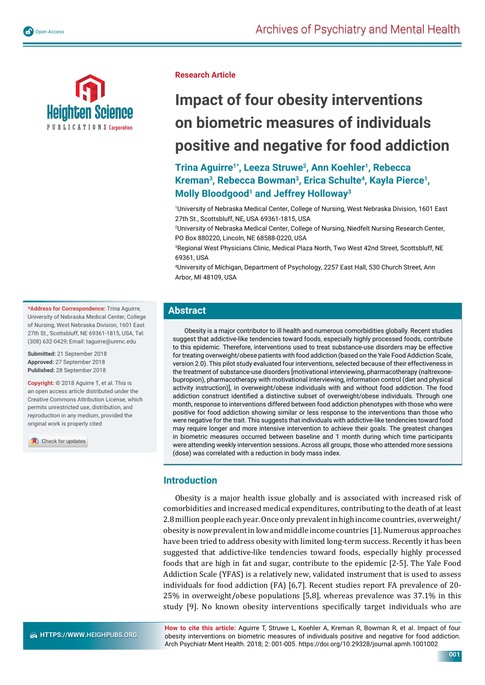

**Research Article**

# **Impact of four obesity interventions on biometric measures of individuals positive and negative for food addiction**

**Trina Aguirre1\*, Leeza Struwe2, Ann Koehler1, Rebecca Kreman3, Rebecca Bowman3, Erica Schulte4, Kayla Pierce1, Molly Bloodgood1 and Jeffrey Holloway3**

1 University of Nebraska Medical Center, College of Nursing, West Nebraska Division, 1601 East 27th St., Scottsbluff, NE, USA 69361-1815, USA

2 University of Nebraska Medical Center, College of Nursing, Niedfelt Nursing Research Center, PO Box 880220, Lincoln, NE 68588-0220, USA

3 Regional West Physicians Clinic, Medical Plaza North, Two West 42nd Street, Scottsbluff, NE 69361, USA

4 University of Michigan, Department of Psychology, 2257 East Hall, 530 Church Street, Ann Arbor, MI 48109, USA

# **Abstract**

Obesity is a major contributor to ill health and numerous comorbidities globally. Recent studies suggest that addictive-like tendencies toward foods, especially highly processed foods, contribute to this epidemic. Therefore, interventions used to treat substance-use disorders may be effective for treating overweight/obese patients with food addiction (based on the Yale Food Addiction Scale, version 2.0). This pilot study evaluated four interventions, selected because of their effectiveness in the treatment of substance-use disorders [motivational interviewing, pharmacotherapy (naltrexonebupropion), pharmacotherapy with motivational interviewing, information control (diet and physical activity instruction)], in overweight/obese individuals with and without food addiction. The food addiction construct identified a distinctive subset of overweight/obese individuals. Through one month, response to interventions differed between food addiction phenotypes with those who were positive for food addiction showing similar or less response to the interventions than those who were negative for the trait. This suggests that individuals with addictive-like tendencies toward food may require longer and more intensive intervention to achieve their goals. The greatest changes in biometric measures occurred between baseline and 1 month during which time participants were attending weekly intervention sessions. Across all groups, those who attended more sessions (dose) was correlated with a reduction in body mass index.

# **Introduction**

Obesity is a major health issue globally and is associated with increased risk of comorbidities and increased medical expenditures, contributing to the death of at least 2.8 million people each year. Once only prevalent in high income countries, overweight/ obesity is now prevalent in low and middle income countries [1]. Numerous approaches have been tried to address obesity with limited long-term success. Recently it has been suggested that addictive-like tendencies toward foods, especially highly processed foods that are high in fat and sugar, contribute to the epidemic [2-5]. The Yale Food Addiction Scale (YFAS) is a relatively new, validated instrument that is used to assess individuals for food addiction (FA) [6,7]. Recent studies report FA prevalence of 20- 25% in overweight/obese populations [5,8], whereas prevalence was 37.1% in this study [9]. No known obesity interventions specifically target individuals who are

**How to cite this article:** Aguirre T, Struwe L, Koehler A, Kreman R, Bowman R, et al. Impact of four obesity interventions on biometric measures of individuals positive and negative for food addiction. Arch Psychiatr Ment Health. 2018; 2: 001-005. https://doi.org/10.29328/journal.apmh.1001002

**001**

**\*Address for Correspondence:** Trina Aguirre, University of Nebraska Medical Center, College of Nursing, West Nebraska Division, 1601 East 27th St., Scottsbluff, NE 69361-1815, USA, Tel: (308) 632-0429; Email: taguirre@unmc.edu

**Submitted:** 21 September 2018 **Approved:** 27 September 2018 **Published:** 28 September 2018

**Copyright: ©** 2018 Aguirre T, et al. This is an open access article distributed under the Creative Commons Attribution License, which permits unrestricted use, distribution, and reproduction in any medium, provided the original work is properly cited

Check for updates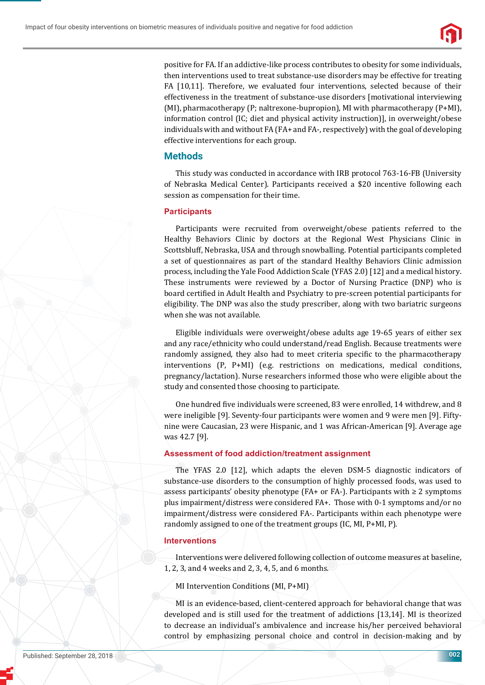

positive for FA. If an addictive-like process contributes to obesity for some individuals, then interventions used to treat substance-use disorders may be effective for treating FA [10,11]. Therefore, we evaluated four interventions, selected because of their effectiveness in the treatment of substance-use disorders [motivational interviewing (MI), pharmacotherapy (P; naltrexone-bupropion), MI with pharmacotherapy (P+MI), information control (IC; diet and physical activity instruction)], in overweight/obese individuals with and without FA (FA+ and FA-, respectively) with the goal of developing effective interventions for each group.

## **Methods**

This study was conducted in accordance with IRB protocol 763-16-FB (University of Nebraska Medical Center). Participants received a \$20 incentive following each session as compensation for their time.

#### **Participants**

Participants were recruited from overweight/obese patients referred to the Healthy Behaviors Clinic by doctors at the Regional West Physicians Clinic in Scottsbluff, Nebraska, USA and through snowballing. Potential participants completed a set of questionnaires as part of the standard Healthy Behaviors Clinic admission process, including the Yale Food Addiction Scale (YFAS 2.0) [12] and a medical history. These instruments were reviewed by a Doctor of Nursing Practice (DNP) who is board certified in Adult Health and Psychiatry to pre-screen potential participants for eligibility. The DNP was also the study prescriber, along with two bariatric surgeons when she was not available.

Eligible individuals were overweight/obese adults age 19-65 years of either sex and any race/ethnicity who could understand/read English. Because treatments were randomly assigned, they also had to meet criteria specific to the pharmacotherapy interventions (P, P+MI) (e.g. restrictions on medications, medical conditions, pregnancy/lactation). Nurse researchers informed those who were eligible about the study and consented those choosing to participate.

One hundred five individuals were screened, 83 were enrolled, 14 withdrew, and 8 were ineligible [9]. Seventy-four participants were women and 9 were men [9]. Fiftynine were Caucasian, 23 were Hispanic, and 1 was African-American [9]. Average age was 42.7 [9].

## **Assessment of food addiction/treatment assignment**

The YFAS 2.0 [12], which adapts the eleven DSM-5 diagnostic indicators of substance-use disorders to the consumption of highly processed foods, was used to assess participants' obesity phenotype (FA+ or FA-). Participants with  $\geq 2$  symptoms plus impairment/distress were considered FA+. Those with 0-1 symptoms and/or no impairment/distress were considered FA-. Participants within each phenotype were randomly assigned to one of the treatment groups (IC, MI, P+MI, P).

#### **Interventions**

Interventions were delivered following collection of outcome measures at baseline, 1, 2, 3, and 4 weeks and 2, 3, 4, 5, and 6 months.

MI Intervention Conditions (MI, P+MI)

MI is an evidence-based, client-centered approach for behavioral change that was developed and is still used for the treatment of addictions [13,14]. MI is theorized to decrease an individual's ambivalence and increase his/her perceived behavioral control by emphasizing personal choice and control in decision-making and by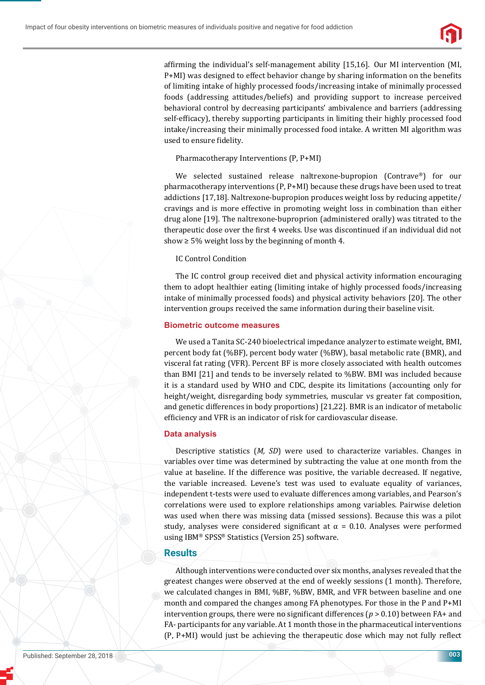

affirming the individual's self-management ability  $[15,16]$ . Our MI intervention (MI, P+MI) was designed to effect behavior change by sharing information on the benefits of limiting intake of highly processed foods/increasing intake of minimally processed foods (addressing attitudes/beliefs) and providing support to increase perceived behavioral control by decreasing participants' ambivalence and barriers (addressing self-efficacy), thereby supporting participants in limiting their highly processed food intake/increasing their minimally processed food intake. A written MI algorithm was used to ensure fidelity.

Pharmacotherapy Interventions (P, P+MI)

We selected sustained release naltrexone-bupropion (Contrave®) for our pharmacotherapy interventions (P, P+MI) because these drugs have been used to treat addictions [17,18]. Naltrexone-bupropion produces weight loss by reducing appetite/ cravings and is more effective in promoting weight loss in combination than either drug alone [19]. The naltrexone-buproprion (administered orally) was titrated to the therapeutic dose over the first 4 weeks. Use was discontinued if an individual did not show  $\geq$  5% weight loss by the beginning of month 4.

#### IC Control Condition

The IC control group received diet and physical activity information encouraging them to adopt healthier eating (limiting intake of highly processed foods/increasing intake of minimally processed foods) and physical activity behaviors [20]. The other intervention groups received the same information during their baseline visit.

#### **Biometric outcome measures**

We used a Tanita SC-240 bioelectrical impedance analyzer to estimate weight, BMI, percent body fat (%BF), percent body water (%BW), basal metabolic rate (BMR), and visceral fat rating (VFR). Percent BF is more closely associated with health outcomes than BMI [21] and tends to be inversely related to %BW. BMI was included because it is a standard used by WHO and CDC, despite its limitations (accounting only for height/weight, disregarding body symmetries, muscular vs greater fat composition, and genetic differences in body proportions) [21,22]. BMR is an indicator of metabolic efficiency and VFR is an indicator of risk for cardiovascular disease.

#### **Data analysis**

Descriptive statistics (*M, SD*) were used to characterize variables. Changes in variables over time was determined by subtracting the value at one month from the value at baseline. If the difference was positive, the variable decreased. If negative, the variable increased. Levene's test was used to evaluate equality of variances, independent t-tests were used to evaluate differences among variables, and Pearson's correlations were used to explore relationships among variables. Pairwise deletion was used when there was missing data (missed sessions). Because this was a pilot study, analyses were considered significant at  $\alpha = 0.10$ . Analyses were performed using IBM® SPSS® Statistics (Version 25) software.

#### **Results**

Although interventions were conducted over six months, analyses revealed that the greatest changes were observed at the end of weekly sessions (1 month). Therefore, we calculated changes in BMI, %BF, %BW, BMR, and VFR between baseline and one month and compared the changes among FA phenotypes. For those in the P and P+MI intervention groups, there were no significant differences ( $p > 0.10$ ) between FA+ and FA- participants for any variable. At 1 month those in the pharmaceutical interventions (P, P+MI) would just be achieving the therapeutic dose which may not fully reflect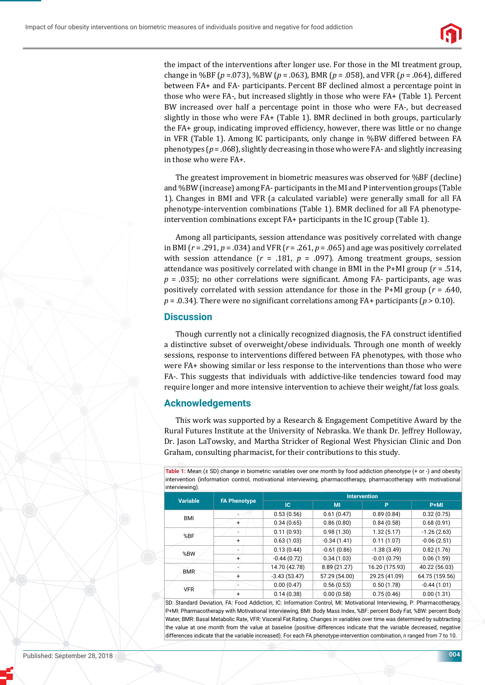

the impact of the interventions after longer use. For those in the MI treatment group, change in %BF (*p* =.073), %BW (*p* = .063), BMR (*p* = .058), and VFR (*p* = .064), differed between FA+ and FA- participants. Percent BF declined almost a percentage point in those who were FA-, but increased slightly in those who were FA+ (Table 1). Percent BW increased over half a percentage point in those who were FA-, but decreased slightly in those who were FA+ (Table 1). BMR declined in both groups, particularly the FA+ group, indicating improved efficiency, however, there was little or no change in VFR (Table 1). Among IC participants, only change in %BW differed between FA phenotypes (*p* = .068), slightly decreasing in those who were FA- and slightly increasing in those who were FA+.

The greatest improvement in biometric measures was observed for %BF (decline) and %BW (increase) among FA- participants in the MI and P intervention groups (Table 1). Changes in BMI and VFR (a calculated variable) were generally small for all FA phenotype-intervention combinations (Table 1). BMR declined for all FA phenotypeintervention combinations except FA+ participants in the IC group (Table 1).

Among all participants, session attendance was positively correlated with change in BMI (*r* = .291, *p* = .034) and VFR (*r* = .261, *p* = .065) and age was positively correlated with session attendance  $(r = .181, p = .097)$ . Among treatment groups, session attendance was positively correlated with change in BMI in the P+MI group (*r* = .514,  $p = .035$ ); no other correlations were significant. Among FA- participants, age was positively correlated with session attendance for those in the P+MI group (*r* = .640,  $p = 0.34$ ). There were no significant correlations among FA+ participants ( $p > 0.10$ ).

## **Discussion**

Though currently not a clinically recognized diagnosis, the FA construct identified a distinctive subset of overweight/obese individuals. Through one month of weekly sessions, response to interventions differed between FA phenotypes, with those who were FA+ showing similar or less response to the interventions than those who were FA-. This suggests that individuals with addictive-like tendencies toward food may require longer and more intensive intervention to achieve their weight/fat loss goals.

## **Acknowledgements**

This work was supported by a Research & Engagement Competitive Award by the Rural Futures Institute at the University of Nebraska. We thank Dr. Jeffrey Holloway, Dr. Jason LaTowsky, and Martha Stricker of Regional West Physician Clinic and Don Graham, consulting pharmacist, for their contributions to this study.

**Table 1:** Mean (± SD) change in biometric variables over one month by food addiction phenotype (+ or -) and obesity intervention (information control, motivational interviewing, pharmacotherapy, pharmacotherapy with motivational interviewing).

| <b>Variable</b> | <b>FA Phenotype</b>      | <b>Intervention</b> |               |                |                |
|-----------------|--------------------------|---------------------|---------------|----------------|----------------|
|                 |                          | <b>IC</b>           | MI            | P              | $P+MI$         |
| BMI             |                          | 0.53(0.56)          | 0.61(0.47)    | 0.89(0.84)     | 0.32(0.75)     |
|                 | +                        | 0.34(0.65)          | 0.86(0.80)    | 0.84(0.58)     | 0.68(0.91)     |
| %BF             | ٠.                       | 0.11(0.93)          | 0.98(1.30)    | 1.32(5.17)     | $-1.26(2.63)$  |
|                 | $\ddot{}$                | 0.63(1.03)          | $-0.34(1.41)$ | 0.11(1.07)     | $-0.06(2.51)$  |
| %BW             | $\overline{\phantom{a}}$ | 0.13(0.44)          | $-0.61(0.86)$ | $-1.38(3.49)$  | 0.82(1.76)     |
|                 | $+$                      | $-0.44(0.72)$       | 0.34(1.03)    | $-0.01(0.79)$  | 0.06(1.59)     |
| <b>BMR</b>      |                          | 14.70 (42.78)       | 8.89 (21.27)  | 16.20 (175.93) | 40.22 (56.03)  |
|                 | +                        | $-3.43(53.47)$      | 57.29 (54.00) | 29.25 (41.09)  | 64.75 (159.56) |
| <b>VFR</b>      |                          | 0.00(0.47)          | 0.56(0.53)    | 0.50(1.78)     | $-0.44(1.01)$  |
|                 | +                        | 0.14(0.38)          | 0.00(0.58)    | 0.75(0.46)     | 0.00(1.31)     |

SD: Standard Deviation, FA: Food Addiction, IC: Information Control, MI: Motivational Interviewing, P: Pharmacotherapy, P+MI: Pharmacotherapy with Motivational Interviewing, BMI: Body Mass Index, %BF: percent Body Fat, %BW: percent Body Water, BMR: Basal Metabolic Rate, VFR: Visceral Fat Rating. Changes in variables over time was determined by subtracting the value at one month from the value at baseline (positive differences indicate that the variable decreased, negative differences indicate that the variable increased). For each FA phenotype-intervention combination, *n* ranged from 7 to 10.